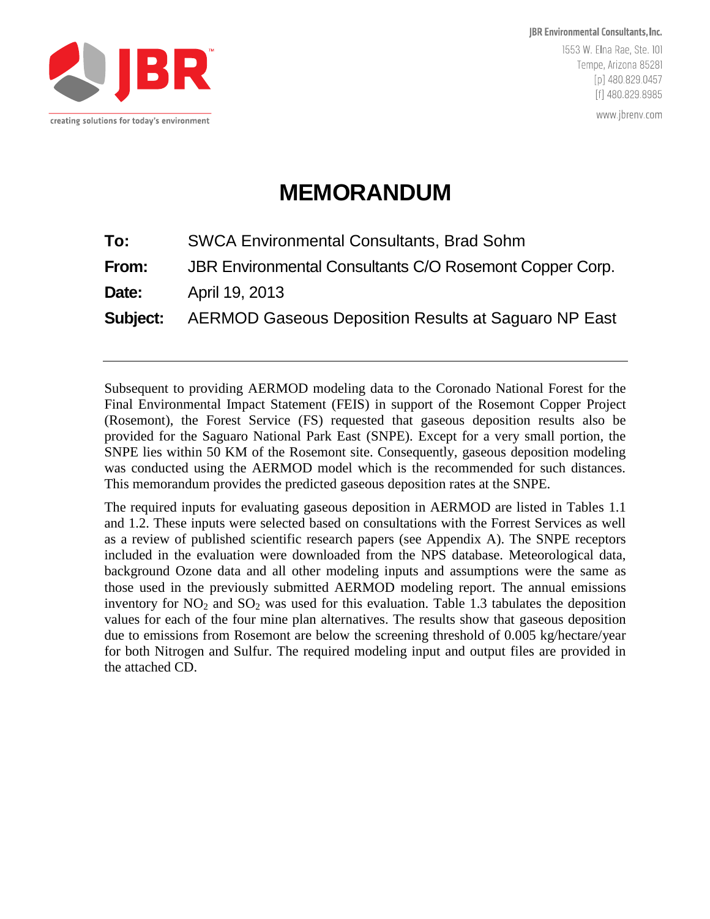

JBR Environmental Consultants, Inc. 1553 W. Elna Rae, Ste. 101 Tempe, Arizona 85281 [p] 480.829.0457 [f] 480.829.8985

www.jbrenv.com

# **MEMORANDUM**

| To:   | <b>SWCA Environmental Consultants, Brad Sohm</b>                     |
|-------|----------------------------------------------------------------------|
| From: | JBR Environmental Consultants C/O Rosemont Copper Corp.              |
| Date: | April 19, 2013                                                       |
|       | <b>Subject:</b> AERMOD Gaseous Deposition Results at Saguaro NP East |

Subsequent to providing AERMOD modeling data to the Coronado National Forest for the Final Environmental Impact Statement (FEIS) in support of the Rosemont Copper Project (Rosemont), the Forest Service (FS) requested that gaseous deposition results also be provided for the Saguaro National Park East (SNPE). Except for a very small portion, the SNPE lies within 50 KM of the Rosemont site. Consequently, gaseous deposition modeling was conducted using the AERMOD model which is the recommended for such distances. This memorandum provides the predicted gaseous deposition rates at the SNPE.

The required inputs for evaluating gaseous deposition in AERMOD are listed in Tables 1.1 and 1.2. These inputs were selected based on consultations with the Forrest Services as well as a review of published scientific research papers (see Appendix A). The SNPE receptors included in the evaluation were downloaded from the NPS database. Meteorological data, background Ozone data and all other modeling inputs and assumptions were the same as those used in the previously submitted AERMOD modeling report. The annual emissions inventory for  $NO<sub>2</sub>$  and  $SO<sub>2</sub>$  was used for this evaluation. Table 1.3 tabulates the deposition values for each of the four mine plan alternatives. The results show that gaseous deposition due to emissions from Rosemont are below the screening threshold of 0.005 kg/hectare/year for both Nitrogen and Sulfur. The required modeling input and output files are provided in the attached CD.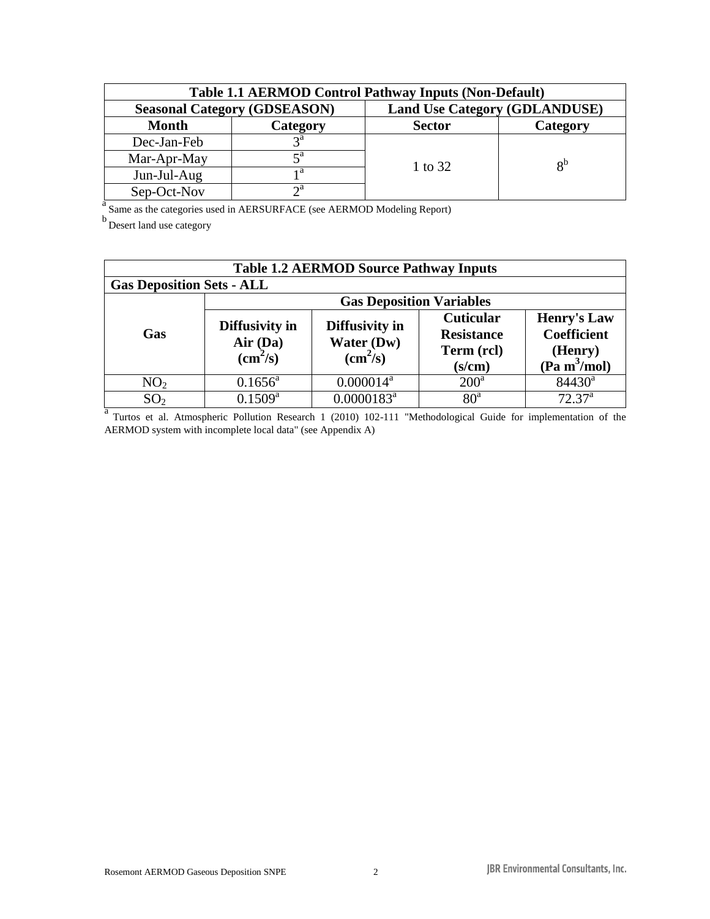| <b>Table 1.1 AERMOD Control Pathway Inputs (Non-Default)</b> |                                     |                                      |       |  |  |
|--------------------------------------------------------------|-------------------------------------|--------------------------------------|-------|--|--|
|                                                              | <b>Seasonal Category (GDSEASON)</b> | <b>Land Use Category (GDLANDUSE)</b> |       |  |  |
| <b>Month</b>                                                 | Category                            | <b>Sector</b><br>Category            |       |  |  |
| Dec-Jan-Feb                                                  | $2^{\mathfrak{a}}$                  |                                      |       |  |  |
| Mar-Apr-May                                                  |                                     | 1 to 32                              | $R^b$ |  |  |
| Jun-Jul-Aug                                                  | ۱a                                  |                                      |       |  |  |
| Sep-Oct-Nov                                                  | ∩a                                  |                                      |       |  |  |

<sup>a</sup> Same as the categories used in AERSURFACE (see AERMOD Modeling Report)

b Desert land use category

| <b>Table 1.2 AERMOD Source Pathway Inputs</b>                                                                 |                     |                                                          |                                                               |                                                                                 |  |  |
|---------------------------------------------------------------------------------------------------------------|---------------------|----------------------------------------------------------|---------------------------------------------------------------|---------------------------------------------------------------------------------|--|--|
| <b>Gas Deposition Sets - ALL</b>                                                                              |                     |                                                          |                                                               |                                                                                 |  |  |
| <b>Gas Deposition Variables</b>                                                                               |                     |                                                          |                                                               |                                                                                 |  |  |
| Diffusivity in<br>Gas<br>Air (Da)<br>$\text{(cm}^2\text{/s)}$                                                 |                     | Diffusivity in<br>Water (Dw)<br>$\text{(cm}^2\text{/s)}$ | <b>Cuticular</b><br><b>Resistance</b><br>Term (rcl)<br>(s/cm) | <b>Henry's Law</b><br><b>Coefficient</b><br>(Henry)<br>(Pa m <sup>3</sup> /mol) |  |  |
| NO <sub>2</sub>                                                                                               | $0.1656^{\text{a}}$ | $0.000014^a$                                             | $200^{\rm a}$                                                 | $84430^a$                                                                       |  |  |
| SO <sub>2</sub>                                                                                               | $0.1509^{\rm a}$    | $0.0000183^a$                                            | 80 <sup>a</sup>                                               | 72.37 <sup>a</sup>                                                              |  |  |
| Turtos et al. Atmospheric Pollution Research 1 (2010) 102-111 "Methodological Guide for implementation of the |                     |                                                          |                                                               |                                                                                 |  |  |

AERMOD system with incomplete local data" (see Appendix A)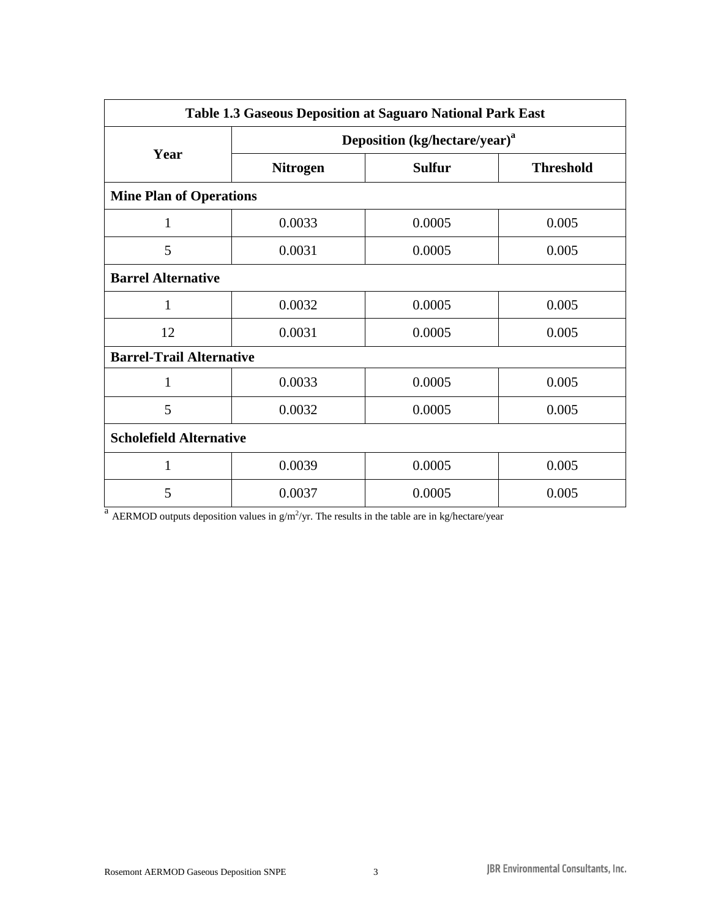| Table 1.3 Gaseous Deposition at Saguaro National Park East |                                           |               |                  |  |  |  |
|------------------------------------------------------------|-------------------------------------------|---------------|------------------|--|--|--|
|                                                            | Deposition (kg/hectare/year) <sup>a</sup> |               |                  |  |  |  |
| Year                                                       | <b>Nitrogen</b>                           | <b>Sulfur</b> | <b>Threshold</b> |  |  |  |
| <b>Mine Plan of Operations</b>                             |                                           |               |                  |  |  |  |
| 1                                                          | 0.0033                                    | 0.0005        | 0.005            |  |  |  |
| 5                                                          | 0.0031                                    | 0.0005        | 0.005            |  |  |  |
| <b>Barrel Alternative</b>                                  |                                           |               |                  |  |  |  |
| 1                                                          | 0.0032                                    | 0.0005        | 0.005            |  |  |  |
| 12                                                         | 0.0031                                    | 0.0005        | 0.005            |  |  |  |
| <b>Barrel-Trail Alternative</b>                            |                                           |               |                  |  |  |  |
| $\mathbf{1}$                                               | 0.0033                                    | 0.0005        | 0.005            |  |  |  |
| 5                                                          | 0.0032                                    | 0.0005        | 0.005            |  |  |  |
| <b>Scholefield Alternative</b>                             |                                           |               |                  |  |  |  |
| 1                                                          | 0.0039                                    | 0.0005        | 0.005            |  |  |  |
| 5                                                          | 0.0037                                    | 0.0005        | 0.005            |  |  |  |

<sup>a</sup> AERMOD outputs deposition values in  $g/m^2$ /yr. The results in the table are in kg/hectare/year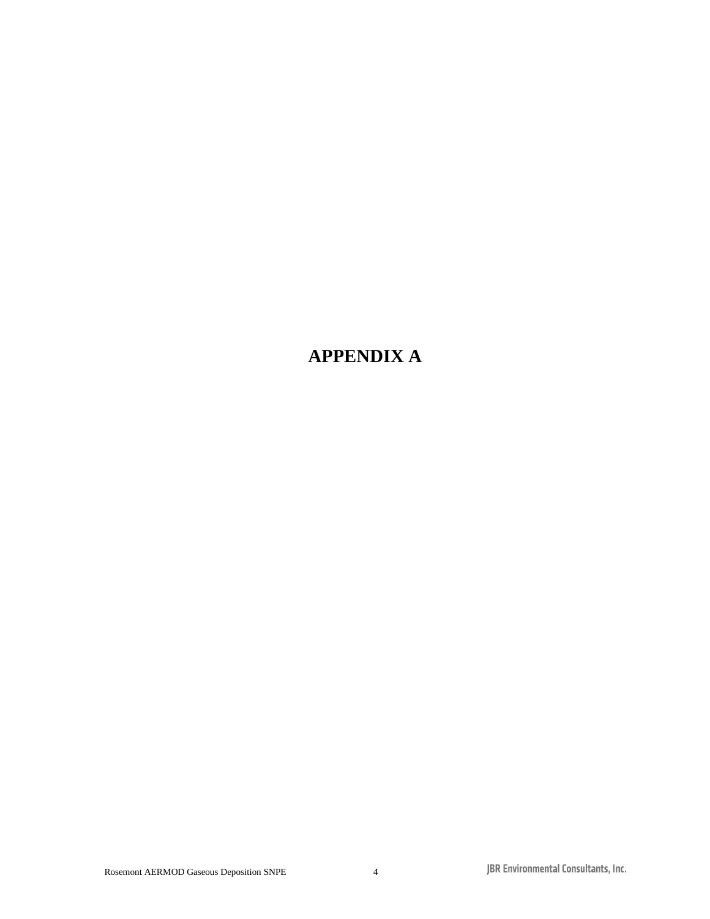# **APPENDIX A**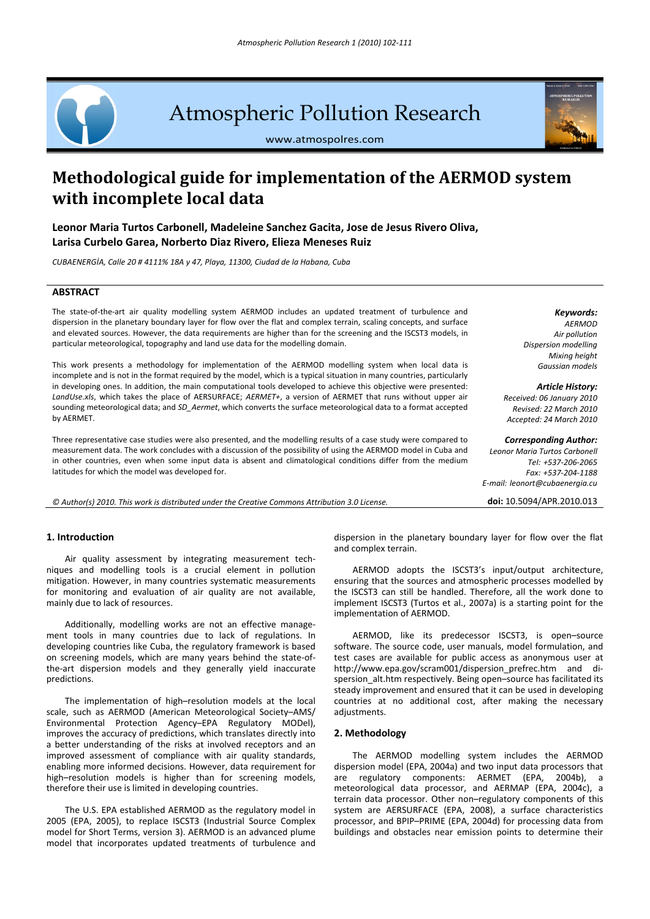# Atmospheric Pollution Research

www.atmospolres.com

# **Methodological guide for implementation of the AERMOD system with incomplete local data**

**Leonor Maria Turtos Carbonell, Madeleine Sanchez Gacita, Jose de Jesus Rivero Oliva, Larisa Curbelo Garea, Norberto Diaz Rivero, Elieza Meneses Ruiz**

*CUBAENERGİA, Calle 20 # 4111% 18A y 47, Playa, 11300, Ciudad de la Habana, Cuba*

# **ABSTRACT**

The state‐of‐the‐art air quality modelling system AERMOD includes an updated treatment of turbulence and dispersion in the planetary boundary layer for flow over the flat and complex terrain, scaling concepts, and surface and elevated sources. However, the data requirements are higher than for the screening and the ISCST3 models, in particular meteorological, topography and land use data for the modelling domain.

This work presents a methodology for implementation of the AERMOD modelling system when local data is incomplete and is not in the format required by the model, which is a typical situation in many countries, particularly in developing ones. In addition, the main computational tools developed to achieve this objective were presented: *LandUse.xls*, which takes the place of AERSURFACE; *AERMET+*, a version of AERMET that runs without upper air sounding meteorological data; and *SD\_Aermet*, which converts the surface meteorological data to a format accepted by AERMET.

Three representative case studies were also presented, and the modelling results of a case study were compared to measurement data. The work concludes with a discussion of the possibility of using the AERMOD model in Cuba and in other countries, even when some input data is absent and climatological conditions differ from the medium latitudes for which the model was developed for.

© Author(s) 2010. This work is distributed under the Creative Commons Attribution 3.0 License. doi: 10.5094/APR.2010.013

#### **1. Introduction**

Air quality assessment by integrating measurement tech‐ niques and modelling tools is a crucial element in pollution mitigation. However, in many countries systematic measurements for monitoring and evaluation of air quality are not available, mainly due to lack of resources.

Additionally, modelling works are not an effective manage‐ ment tools in many countries due to lack of regulations. In developing countries like Cuba, the regulatory framework is based on screening models, which are many years behind the state‐of‐ the‐art dispersion models and they generally yield inaccurate predictions.

The implementation of high–resolution models at the local scale, such as AERMOD (American Meteorological Society–AMS/ Environmental Protection Agency–EPA Regulatory MODel), improves the accuracy of predictions, which translates directly into a better understanding of the risks at involved receptors and an improved assessment of compliance with air quality standards, enabling more informed decisions. However, data requirement for high–resolution models is higher than for screening models, therefore their use is limited in developing countries.

The U.S. EPA established AERMOD as the regulatory model in 2005 (EPA, 2005), to replace ISCST3 (Industrial Source Complex model for Short Terms, version 3). AERMOD is an advanced plume model that incorporates updated treatments of turbulence and

dispersion in the planetary boundary layer for flow over the flat and complex terrain.

AERMOD adopts the ISCST3's input/output architecture, ensuring that the sources and atmospheric processes modelled by the ISCST3 can still be handled. Therefore, all the work done to implement ISCST3 (Turtos et al., 2007a) is a starting point for the implementation of AERMOD.

AERMOD, like its predecessor ISCST3, is open–source software. The source code, user manuals, model formulation, and test cases are available for public access as anonymous user at http://www.epa.gov/scram001/dispersion\_prefrec.htm and di‐ spersion alt.htm respectively. Being open–source has facilitated its steady improvement and ensured that it can be used in developing countries at no additional cost, after making the necessary adjustments.

# **2. Methodology**

The AERMOD modelling system includes the AERMOD dispersion model (EPA, 2004a) and two input data processors that are regulatory components: AERMET (EPA, 2004b), a meteorological data processor, and AERMAP (EPA, 2004c), a terrain data processor. Other non–regulatory components of this system are AERSURFACE (EPA, 2008), a surface characteristics processor, and BPIP–PRIME (EPA, 2004d) for processing data from buildings and obstacles near emission points to determine their

#### *Keywords:*

*AERMOD Air pollution Dispersion modelling Mixing height Gaussian models*

*Article History: Received: 06 January 2010 Revised: 22 March 2010 Accepted: 24 March 2010*

#### *Corresponding Author:*

*Leonor Maria Turtos Carbonell Tel: +537‐206‐2065 Fax: +537‐204‐1188 E‐mail: leonort@cubaenergia.cu*

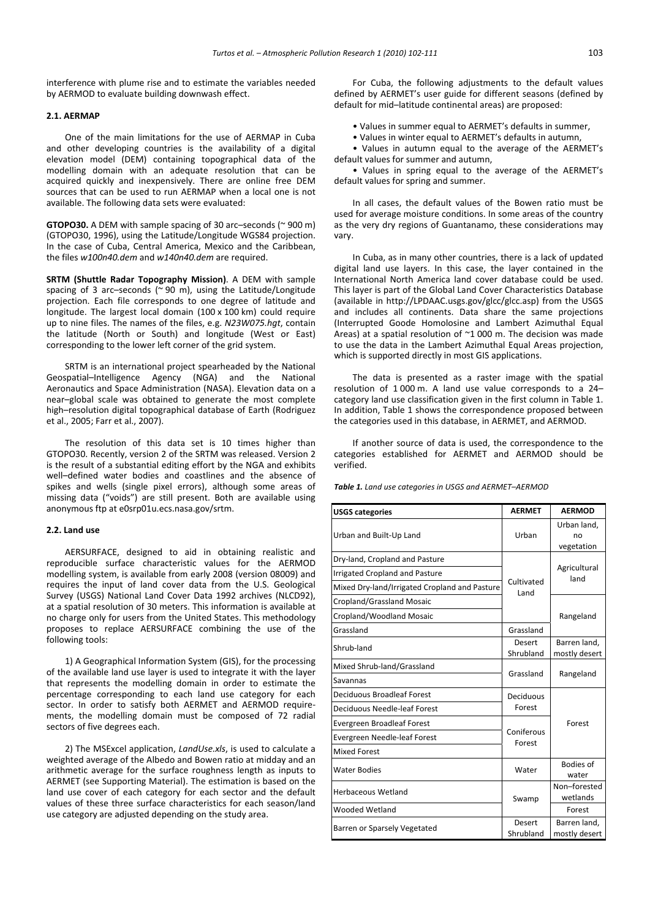interference with plume rise and to estimate the variables needed by AERMOD to evaluate building downwash effect.

## **2.1. AERMAP**

One of the main limitations for the use of AERMAP in Cuba and other developing countries is the availability of a digital elevation model (DEM) containing topographical data of the modelling domain with an adequate resolution that can be acquired quickly and inexpensively. There are online free DEM sources that can be used to run AERMAP when a local one is not available. The following data sets were evaluated:

**GTOPO30.** A DEM with sample spacing of 30 arc–seconds (~ 900 m) (GTOPO30, 1996), using the Latitude/Longitude WGS84 projection. In the case of Cuba, Central America, Mexico and the Caribbean, the files *w100n40.dem* and *w140n40.dem* are required.

**SRTM (Shuttle Radar Topography Mission)**. A DEM with sample spacing of 3 arc–seconds (~ 90 m), using the Latitude/Longitude projection. Each file corresponds to one degree of latitude and longitude. The largest local domain (100 x 100 km) could require up to nine files. The names of the files, e.g. *N23W075.hgt*, contain the latitude (North or South) and longitude (West or East) corresponding to the lower left corner of the grid system.

SRTM is an international project spearheaded by the National Geospatial–Intelligence Agency (NGA) and the National Aeronautics and Space Administration (NASA). Elevation data on a near–global scale was obtained to generate the most complete high–resolution digital topographical database of Earth (Rodriguez et al., 2005; Farr et al., 2007).

The resolution of this data set is 10 times higher than GTOPO30. Recently, version 2 of the SRTM was released. Version 2 is the result of a substantial editing effort by the NGA and exhibits well–defined water bodies and coastlines and the absence of spikes and wells (single pixel errors), although some areas of missing data ("voids") are still present. Both are available using anonymous ftp at e0srp01u.ecs.nasa.gov/srtm.

#### **2.2. Land use**

AERSURFACE, designed to aid in obtaining realistic and reproducible surface characteristic values for the AERMOD modelling system, is available from early 2008 (version 08009) and requires the input of land cover data from the U.S. Geological Survey (USGS) National Land Cover Data 1992 archives (NLCD92), at a spatial resolution of 30 meters. This information is available at no charge only for users from the United States. This methodology proposes to replace AERSURFACE combining the use of the following tools:

1) A Geographical Information System (GIS), for the processing of the available land use layer is used to integrate it with the layer that represents the modelling domain in order to estimate the percentage corresponding to each land use category for each sector. In order to satisfy both AERMET and AERMOD requirements, the modelling domain must be composed of 72 radial sectors of five degrees each.

2) The MSExcel application, *LandUse.xls*, is used to calculate a weighted average of the Albedo and Bowen ratio at midday and an arithmetic average for the surface roughness length as inputs to AERMET (see Supporting Material). The estimation is based on the land use cover of each category for each sector and the default values of these three surface characteristics for each season/land use category are adjusted depending on the study area.

For Cuba, the following adjustments to the default values defined by AERMET's user guide for different seasons (defined by default for mid–latitude continental areas) are proposed:

• Values in summer equal to AERMET's defaults in summer,

• Values in winter equal to AERMET's defaults in autumn,

• Values in autumn equal to the average of the AERMET's default values for summer and autumn,

• Values in spring equal to the average of the AERMET's default values for spring and summer.

In all cases, the default values of the Bowen ratio must be used for average moisture conditions. In some areas of the country as the very dry regions of Guantanamo, these considerations may vary.

In Cuba, as in many other countries, there is a lack of updated digital land use layers. In this case, the layer contained in the International North America land cover database could be used. This layer is part of the Global Land Cover Characteristics Database (available in http://LPDAAC.usgs.gov/glcc/glcc.asp) from the USGS and includes all continents. Data share the same projections (Interrupted Goode Homolosine and Lambert Azimuthal Equal Areas) at a spatial resolution of ~1 000 m. The decision was made to use the data in the Lambert Azimuthal Equal Areas projection, which is supported directly in most GIS applications.

The data is presented as a raster image with the spatial resolution of 1 000 m. A land use value corresponds to a 24– category land use classification given in the first column in Table 1. In addition, Table 1 shows the correspondence proposed between the categories used in this database, in AERMET, and AERMOD.

If another source of data is used, the correspondence to the categories established for AERMET and AERMOD should be verified.

*Table 1. Land use categories in USGS and AERMET–AERMOD*

| <b>USGS categories</b>                        | <b>AERMET</b>        | <b>AERMOD</b>            |  |
|-----------------------------------------------|----------------------|--------------------------|--|
| Urban and Built-Up Land                       | Urban                | Urban land,<br>no        |  |
|                                               |                      | vegetation               |  |
| Dry-land, Cropland and Pasture                |                      |                          |  |
| <b>Irrigated Cropland and Pasture</b>         |                      | Agricultural<br>land     |  |
| Mixed Dry-land/Irrigated Cropland and Pasture | Cultivated<br>Land   |                          |  |
| Cropland/Grassland Mosaic                     |                      | Rangeland                |  |
| Cropland/Woodland Mosaic                      |                      |                          |  |
| Grassland                                     | Grassland            |                          |  |
| Shrub-land                                    | Desert               | Barren land,             |  |
|                                               | Shrubland            | mostly desert            |  |
| Mixed Shrub-land/Grassland                    | Grassland            | Rangeland                |  |
| Savannas                                      |                      |                          |  |
| Deciduous Broadleaf Forest                    | Deciduous            |                          |  |
| Deciduous Needle-leaf Forest                  | Forest               | Forest                   |  |
| <b>Evergreen Broadleaf Forest</b>             |                      |                          |  |
| Evergreen Needle-leaf Forest                  | Coniferous<br>Forest |                          |  |
| <b>Mixed Forest</b>                           |                      |                          |  |
| <b>Water Bodies</b>                           | Water                | <b>Bodies of</b>         |  |
|                                               |                      | water                    |  |
| Herbaceous Wetland                            | Swamp                | Non-forested<br>wetlands |  |
| Wooded Wetland                                |                      | Forest                   |  |
| Barren or Sparsely Vegetated                  | Desert               | Barren land.             |  |
|                                               | Shrubland            | mostly desert            |  |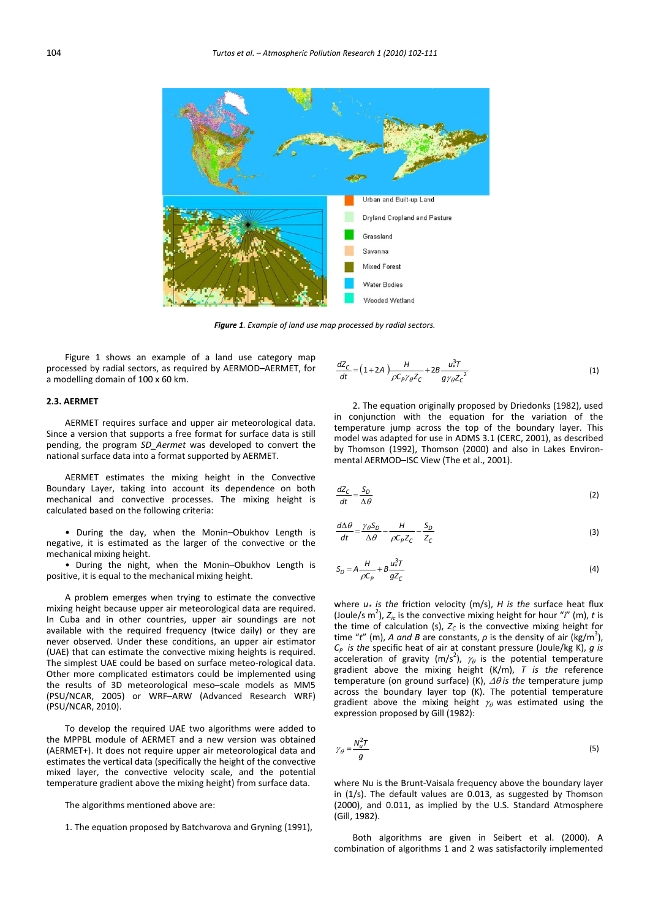

*Figure 1. Example of land use map processed by radial sectors.*

Figure 1 shows an example of a land use category map processed by radial sectors, as required by AERMOD–AERMET, for a modelling domain of 100 x 60 km.

# **2.3. AERMET**

AERMET requires surface and upper air meteorological data. Since a version that supports a free format for surface data is still pending, the program *SD\_Aermet* was developed to convert the national surface data into a format supported by AERMET.

AERMET estimates the mixing height in the Convective Boundary Layer, taking into account its dependence on both mechanical and convective processes. The mixing height is calculated based on the following criteria:

• During the day, when the Monin–Obukhov Length is negative, it is estimated as the larger of the convective or the mechanical mixing height.

• During the night, when the Monin–Obukhov Length is positive, it is equal to the mechanical mixing height.

A problem emerges when trying to estimate the convective mixing height because upper air meteorological data are required. In Cuba and in other countries, upper air soundings are not available with the required frequency (twice daily) or they are never observed. Under these conditions, an upper air estimator (UAE) that can estimate the convective mixing heights is required. The simplest UAE could be based on surface meteo‐rological data. Other more complicated estimators could be implemented using the results of 3D meteorological meso–scale models as MM5 (PSU/NCAR, 2005) or WRF–ARW (Advanced Research WRF) (PSU/NCAR, 2010).

To develop the required UAE two algorithms were added to the MPPBL module of AERMET and a new version was obtained (AERMET+). It does not require upper air meteorological data and estimates the vertical data (specifically the height of the convective mixed layer, the convective velocity scale, and the potential temperature gradient above the mixing height) from surface data.

The algorithms mentioned above are:

1. The equation proposed by Batchvarova and Gryning (1991),

$$
\frac{dZ_C}{dt} = \left(1 + 2A\right)\frac{H}{\rho C_P \gamma_\theta Z_C} + 2B \frac{u^2 T}{g \gamma_\theta Z_C^2}
$$
(1)

2. The equation originally proposed by Driedonks (1982), used in conjunction with the equation for the variation of the temperature jump across the top of the boundary layer. This model was adapted for use in ADMS 3.1 (CERC, 2001), as described by Thomson (1992), Thomson (2000) and also in Lakes Environ‐ mental AERMOD–ISC View (The et al., 2001).

$$
\frac{dZ_C}{dt} = \frac{S_D}{\Delta \theta} \tag{2}
$$

$$
\frac{d\Delta\theta}{dt} = \frac{\gamma_{\theta}S_D}{\Delta\theta} - \frac{H}{\rho C_P Z_C} - \frac{S_D}{Z_C}
$$
 (3)

$$
S_D = A \frac{H}{\rho C_P} + B \frac{u^3 T}{g^2 C}
$$
 (4)

where *u\* is the* friction velocity (m/s), *H is the* surface heat flux (Joule/s m<sup>2</sup>),  $Z_{ic}$  is the convective mixing height for hour "*i*" (m), *t* is the time of calculation (s),  $Z_c$  is the convective mixing height for time "t" (m), A and B are constants,  $\rho$  is the density of air (kg/m<sup>3</sup>), *CP is the* specific heat of air at constant pressure (Joule/kg K), *g is* acceleration of gravity (m/s<sup>2</sup>),  $\gamma_{\theta}$  is the potential temperature gradient above the mixing height (K/m), *T is the* reference temperature (on ground surface) (K), Δθ *is the* temperature jump across the boundary layer top (K). The potential temperature gradient above the mixing height  $\gamma_{\theta}$  was estimated using the expression proposed by Gill (1982):

$$
\gamma_{\theta} = \frac{N_u^2 T}{g} \tag{5}
$$

where Nu is the Brunt-Vaisala frequency above the boundary layer in (1/s). The default values are 0.013, as suggested by Thomson (2000), and 0.011, as implied by the U.S. Standard Atmosphere (Gill, 1982).

Both algorithms are given in Seibert et al. (2000). A combination of algorithms 1 and 2 was satisfactorily implemented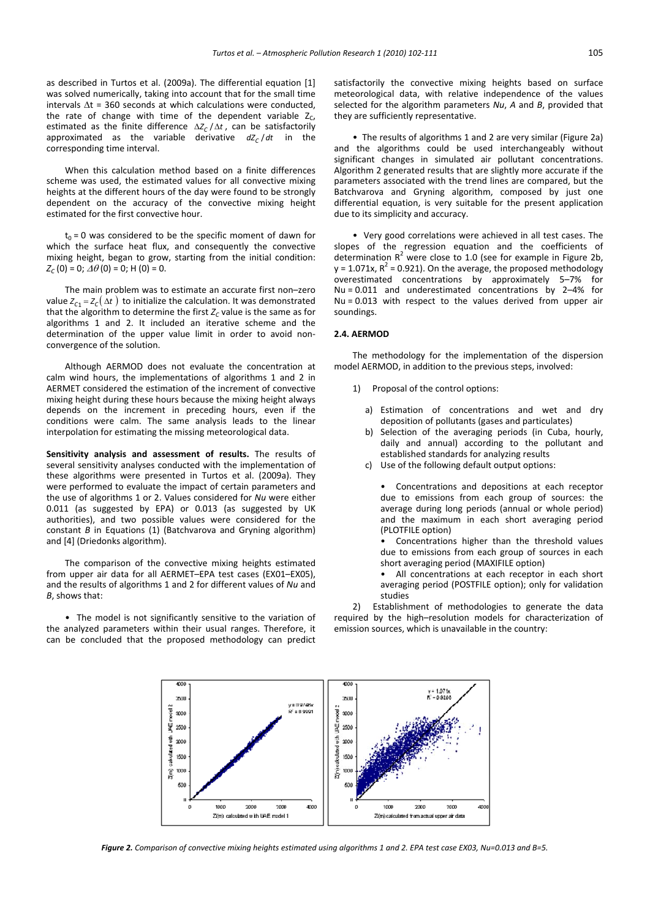as described in Turtos et al. (2009a). The differential equation [1] was solved numerically, taking into account that for the small time intervals  $\Delta t$  = 360 seconds at which calculations were conducted, the rate of change with time of the dependent variable  $Z_c$ , estimated as the finite difference  $\Delta Z_C / \Delta t$ , can be satisfactorily approximated as the variable derivative  $dZ_c/dt$  in the corresponding time interval.

When this calculation method based on a finite differences scheme was used, the estimated values for all convective mixing heights at the different hours of the day were found to be strongly dependent on the accuracy of the convective mixing height estimated for the first convective hour.

 $t_0$  = 0 was considered to be the specific moment of dawn for which the surface heat flux, and consequently the convective mixing height, began to grow, starting from the initial condition:  $Z_c(0) = 0$ ;  $\Delta\theta(0) = 0$ ; H(0) = 0.

The main problem was to estimate an accurate first non–zero value  $Z_{C_1} = Z_C(\Delta t)$  to initialize the calculation. It was demonstrated that the algorithm to determine the first  $Z_c$  value is the same as for algorithms 1 and 2. It included an iterative scheme and the determination of the upper value limit in order to avoid nonconvergence of the solution.

Although AERMOD does not evaluate the concentration at calm wind hours, the implementations of algorithms 1 and 2 in AERMET considered the estimation of the increment of convective mixing height during these hours because the mixing height always depends on the increment in preceding hours, even if the conditions were calm. The same analysis leads to the linear interpolation for estimating the missing meteorological data.

**Sensitivity analysis and assessment of results.** The results of several sensitivity analyses conducted with the implementation of these algorithms were presented in Turtos et al. (2009a). They were performed to evaluate the impact of certain parameters and the use of algorithms 1 or 2. Values considered for *Nu* were either 0.011 (as suggested by EPA) or 0.013 (as suggested by UK authorities), and two possible values were considered for the constant *B* in Equations (1) (Batchvarova and Gryning algorithm) and [4] (Driedonks algorithm).

The comparison of the convective mixing heights estimated from upper air data for all AERMET–EPA test cases (EX01–EX05), and the results of algorithms 1 and 2 for different values of *Nu* and *B*, shows that:

• The model is not significantly sensitive to the variation of the analyzed parameters within their usual ranges. Therefore, it can be concluded that the proposed methodology can predict satisfactorily the convective mixing heights based on surface meteorological data, with relative independence of the values selected for the algorithm parameters *Nu*, *A* and *B*, provided that they are sufficiently representative.

• The results of algorithms 1 and 2 are very similar (Figure 2a) and the algorithms could be used interchangeably without significant changes in simulated air pollutant concentrations. Algorithm 2 generated results that are slightly more accurate if the parameters associated with the trend lines are compared, but the Batchvarova and Gryning algorithm, composed by just one differential equation, is very suitable for the present application due to its simplicity and accuracy.

• Very good correlations were achieved in all test cases. The slopes of the regression equation and the coefficients of determination  $R^2$  were close to 1.0 (see for example in Figure 2b,  $y = 1.071x$ ,  $R^2 = 0.921$ ). On the average, the proposed methodology overestimated concentrations by approximately 5–7% for Nu = 0.011 and underestimated concentrations by 2–4% for Nu = 0.013 with respect to the values derived from upper air soundings.

### **2.4. AERMOD**

The methodology for the implementation of the dispersion model AERMOD, in addition to the previous steps, involved:

- 1) Proposal of the control options:
	- a) Estimation of concentrations and wet and dry deposition of pollutants (gases and particulates)
	- b) Selection of the averaging periods (in Cuba, hourly, daily and annual) according to the pollutant and established standards for analyzing results
	- c) Use of the following default output options:

• Concentrations and depositions at each receptor due to emissions from each group of sources: the average during long periods (annual or whole period) and the maximum in each short averaging period (PLOTFILE option)

Concentrations higher than the threshold values due to emissions from each group of sources in each short averaging period (MAXIFILE option)

• All concentrations at each receptor in each short averaging period (POSTFILE option); only for validation studies

2) Establishment of methodologies to generate the data required by the high–resolution models for characterization of emission sources, which is unavailable in the country:



Figure 2. Comparison of convective mixing heights estimated using algorithms 1 and 2. EPA test case EX03, Nu=0.013 and B=5.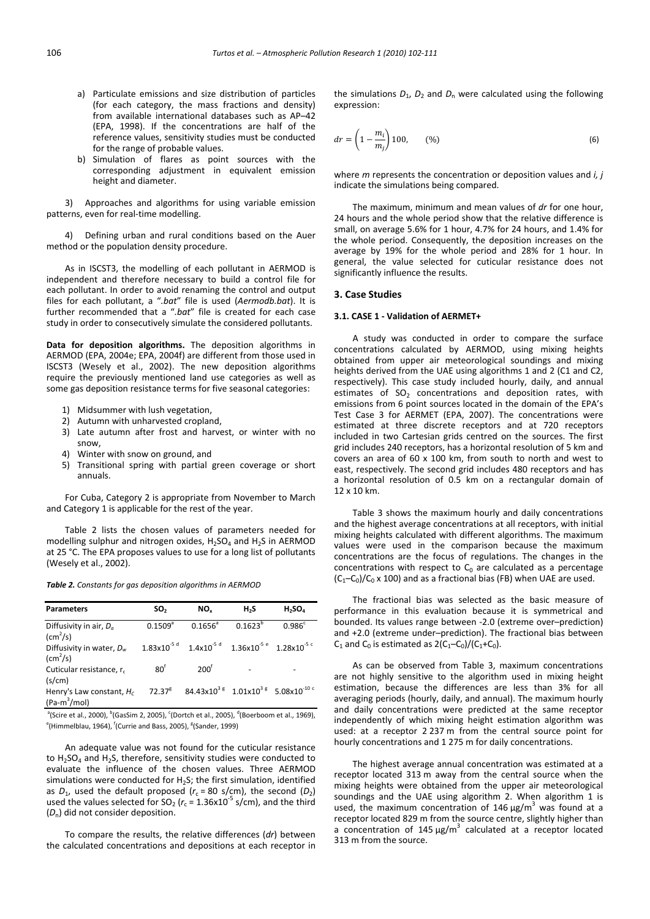- a) Particulate emissions and size distribution of particles (for each category, the mass fractions and density) from available international databases such as AP–42 (EPA, 1998). If the concentrations are half of the reference values, sensitivity studies must be conducted for the range of probable values.
- b) Simulation of flares as point sources with the corresponding adjustment in equivalent emission height and diameter.

3) Approaches and algorithms for using variable emission patterns, even for real-time modelling.

4) Defining urban and rural conditions based on the Auer method or the population density procedure.

As in ISCST3, the modelling of each pollutant in AERMOD is independent and therefore necessary to build a control file for each pollutant. In order to avoid renaming the control and output files for each pollutant, a "*.bat*" file is used (*Aermodb.bat*). It is further recommended that a "*.bat*" file is created for each case study in order to consecutively simulate the considered pollutants.

**Data for deposition algorithms.** The deposition algorithms in AERMOD (EPA, 2004e; EPA, 2004f) are different from those used in ISCST3 (Wesely et al., 2002). The new deposition algorithms require the previously mentioned land use categories as well as some gas deposition resistance terms for five seasonal categories:

- 1) Midsummer with lush vegetation,
- 2) Autumn with unharvested cropland,
- 3) Late autumn after frost and harvest, or winter with no snow,
- 4) Winter with snow on ground, and
- 5) Transitional spring with partial green coverage or short annuals.

For Cuba, Category 2 is appropriate from November to March and Category 1 is applicable for the rest of the year.

Table 2 lists the chosen values of parameters needed for modelling sulphur and nitrogen oxides,  $H_2SO_4$  and  $H_2S$  in AERMOD at 25 °C. The EPA proposes values to use for a long list of pollutants (Wesely et al., 2002).

*Table 2. Constants for gas deposition algorithms in AERMOD*

| <b>Parameters</b>                                       | SO <sub>2</sub>         | NO.             | H <sub>2</sub> S                 | $H_2SO_4$                                                                                               |
|---------------------------------------------------------|-------------------------|-----------------|----------------------------------|---------------------------------------------------------------------------------------------------------|
| Diffusivity in air, $D_a$<br>$\text{(cm}^2\text{/s)}$   | $0.1509^{a}$            | $0.1656^a$      | $0.1623^{b}$                     | 0.986 <sup>c</sup>                                                                                      |
| Diffusivity in water, $D_w$<br>$\text{(cm}^2\text{/s)}$ | $1.83 \times 10^{-5}$ d |                 | $1.4x10^{-5 d}$ $1.36x10^{-5 e}$ | $1.28\times10^{-5}$ c                                                                                   |
| Cuticular resistance, r.<br>(s/cm)                      | $80^{\dagger}$          | $200^{\dagger}$ |                                  |                                                                                                         |
| Henry's Law constant, $H_c$<br>$(Pa-m^3/mol)$           | $72.37^8$               |                 |                                  | $84.43 \times 10^{3}$ $\frac{8}{1.01 \times 10^{3} }$ $\frac{8}{1.08 \times 10^{-10} }$ $\frac{100}{1}$ |

 $^{\rm a}$ (Scire et al., 2000),  $^{\rm b}$ (GasSim 2, 2005),  $^{\rm c}$ (Dortch et al., 2005),  $^{\rm d}$ (Boerboom et al., 1969), <sup>e</sup>(Himmelblau, 1964), <sup>f</sup>(Currie and Bass, 2005), <sup>g</sup>(Sander, 1999)

An adequate value was not found for the cuticular resistance to  $H_2$ SO<sub>4</sub> and  $H_2$ S, therefore, sensitivity studies were conducted to evaluate the influence of the chosen values. Three AERMOD simulations were conducted for  $H_2S$ ; the first simulation, identified as  $D_1$ , used the default proposed ( $r_c$  = 80 s/cm), the second ( $D_2$ ) used the values selected for  $SO_2$  ( $r_c$  = 1.36x10<sup>-5</sup> s/cm), and the third (*D*n) did not consider deposition.

To compare the results, the relative differences (*dr*) between the calculated concentrations and depositions at each receptor in

the simulations  $D_1$ ,  $D_2$  and  $D_n$  were calculated using the following expression:

$$
dr = \left(1 - \frac{m_i}{m_j}\right)100, \qquad (\%) \tag{6}
$$

where *m* represents the concentration or deposition values and *i, j* indicate the simulations being compared.

The maximum, minimum and mean values of *dr* for one hour, 24 hours and the whole period show that the relative difference is small, on average 5.6% for 1 hour, 4.7% for 24 hours, and 1.4% for the whole period. Consequently, the deposition increases on the average by 19% for the whole period and 28% for 1 hour. In general, the value selected for cuticular resistance does not significantly influence the results.

#### **3. Case Studies**

#### **3.1. CASE 1 ‐ Validation of AERMET+**

A study was conducted in order to compare the surface concentrations calculated by AERMOD, using mixing heights obtained from upper air meteorological soundings and mixing heights derived from the UAE using algorithms 1 and 2 (C1 and C2, respectively). This case study included hourly, daily, and annual estimates of  $SO<sub>2</sub>$  concentrations and deposition rates, with emissions from 6 point sources located in the domain of the EPA's Test Case 3 for AERMET (EPA, 2007). The concentrations were estimated at three discrete receptors and at 720 receptors included in two Cartesian grids centred on the sources. The first grid includes 240 receptors, has a horizontal resolution of 5 km and covers an area of 60 x 100 km, from south to north and west to east, respectively. The second grid includes 480 receptors and has a horizontal resolution of 0.5 km on a rectangular domain of 12 x 10 km.

Table 3 shows the maximum hourly and daily concentrations and the highest average concentrations at all receptors, with initial mixing heights calculated with different algorithms. The maximum values were used in the comparison because the maximum concentrations are the focus of regulations. The changes in the concentrations with respect to  $C_0$  are calculated as a percentage  $(C_1-C_0)/C_0 \times 100$ ) and as a fractional bias (FB) when UAE are used.

The fractional bias was selected as the basic measure of performance in this evaluation because it is symmetrical and bounded. Its values range between ‐2.0 (extreme over–prediction) and +2.0 (extreme under–prediction). The fractional bias between  $C_1$  and  $C_0$  is estimated as  $2(C_1-C_0)/(C_1+C_0)$ .

As can be observed from Table 3, maximum concentrations are not highly sensitive to the algorithm used in mixing height estimation, because the differences are less than 3% for all averaging periods (hourly, daily, and annual). The maximum hourly and daily concentrations were predicted at the same receptor independently of which mixing height estimation algorithm was used: at a receptor 2 237 m from the central source point for hourly concentrations and 1 275 m for daily concentrations.

The highest average annual concentration was estimated at a receptor located 313 m away from the central source when the mixing heights were obtained from the upper air meteorological soundings and the UAE using algorithm 2. When algorithm 1 is used, the maximum concentration of  $146 \mu g/m^3$  was found at a receptor located 829 m from the source centre, slightly higher than a concentration of  $145 \mu g/m^3$  calculated at a receptor located 313 m from the source.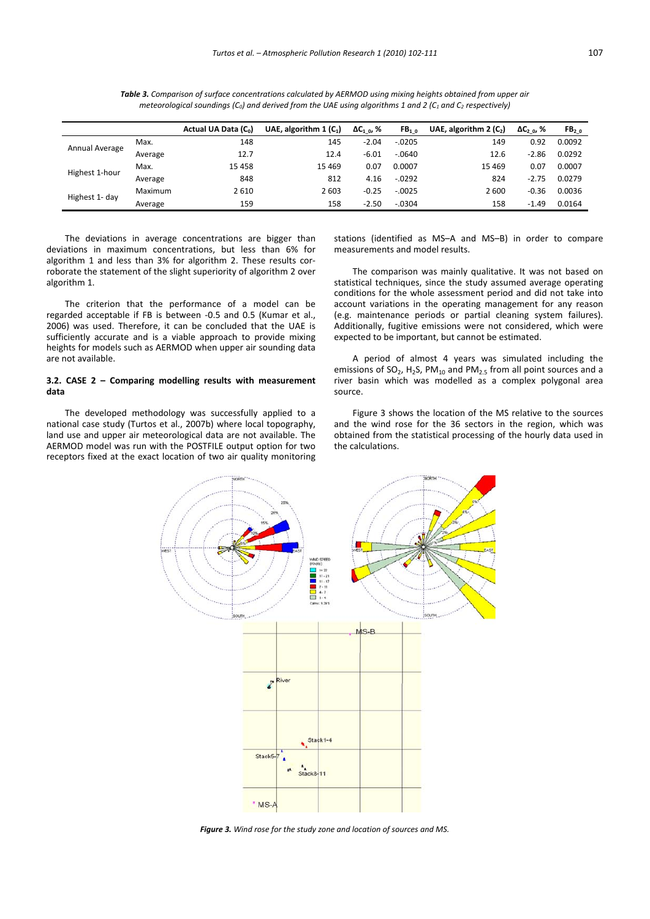|                |         | Actual UA Data (C <sub>0</sub> ) | UAE, algorithm $1(C_1)$ | $\Delta C_{1,0}$ , % | FB <sub>10</sub> | UAE, algorithm $2(C_2)$ | $\Delta C_{2,0}$ , % | FB <sub>20</sub> |
|----------------|---------|----------------------------------|-------------------------|----------------------|------------------|-------------------------|----------------------|------------------|
| Annual Average | Max.    | 148                              | 145                     | $-2.04$              | $-.0205$         | 149                     | 0.92                 | 0.0092           |
|                | Average | 12.7                             | 12.4                    | $-6.01$              | $-.0640$         | 12.6                    | $-2.86$              | 0.0292           |
| Highest 1-hour | Max.    | 15 4 58                          | 15 4 69                 | 0.07                 | 0.0007           | 15 4 69                 | 0.07                 | 0.0007           |
|                | Average | 848                              | 812                     | 4.16                 | $-.0292$         | 824                     | $-2.75$              | 0.0279           |
| Highest 1- day | Maximum | 2610                             | 2 6 0 3                 | $-0.25$              | $-.0025$         | 2600                    | $-0.36$              | 0.0036           |
|                | Average | 159                              | 158                     | $-2.50$              | $-.0304$         | 158                     | $-1.49$              | 0.0164           |

Table 3. Comparison of surface concentrations calculated by AERMOD using mixing heights obtained from upper air *meteorological soundings (C0) and derived from the UAE using algorithms 1 and 2 (C1 and C2 respectively)*

The deviations in average concentrations are bigger than deviations in maximum concentrations, but less than 6% for algorithm 1 and less than 3% for algorithm 2. These results cor‐ roborate the statement of the slight superiority of algorithm 2 over algorithm 1.

The criterion that the performance of a model can be regarded acceptable if FB is between ‐0.5 and 0.5 (Kumar et al., 2006) was used. Therefore, it can be concluded that the UAE is sufficiently accurate and is a viable approach to provide mixing heights for models such as AERMOD when upper air sounding data are not available.

### **3.2. CASE 2 – Comparing modelling results with measurement data**

The developed methodology was successfully applied to a national case study (Turtos et al., 2007b) where local topography, land use and upper air meteorological data are not available. The AERMOD model was run with the POSTFILE output option for two receptors fixed at the exact location of two air quality monitoring stations (identified as MS–A and MS–B) in order to compare measurements and model results.

The comparison was mainly qualitative. It was not based on statistical techniques, since the study assumed average operating conditions for the whole assessment period and did not take into account variations in the operating management for any reason (e.g. maintenance periods or partial cleaning system failures). Additionally, fugitive emissions were not considered, which were expected to be important, but cannot be estimated.

A period of almost 4 years was simulated including the emissions of  $SO_2$ , H<sub>2</sub>S, PM<sub>10</sub> and PM<sub>2.5</sub> from all point sources and a river basin which was modelled as a complex polygonal area source.

Figure 3 shows the location of the MS relative to the sources and the wind rose for the 36 sectors in the region, which was obtained from the statistical processing of the hourly data used in the calculations.



*Figure 3. Wind rose for the study zone and location of sources and MS.*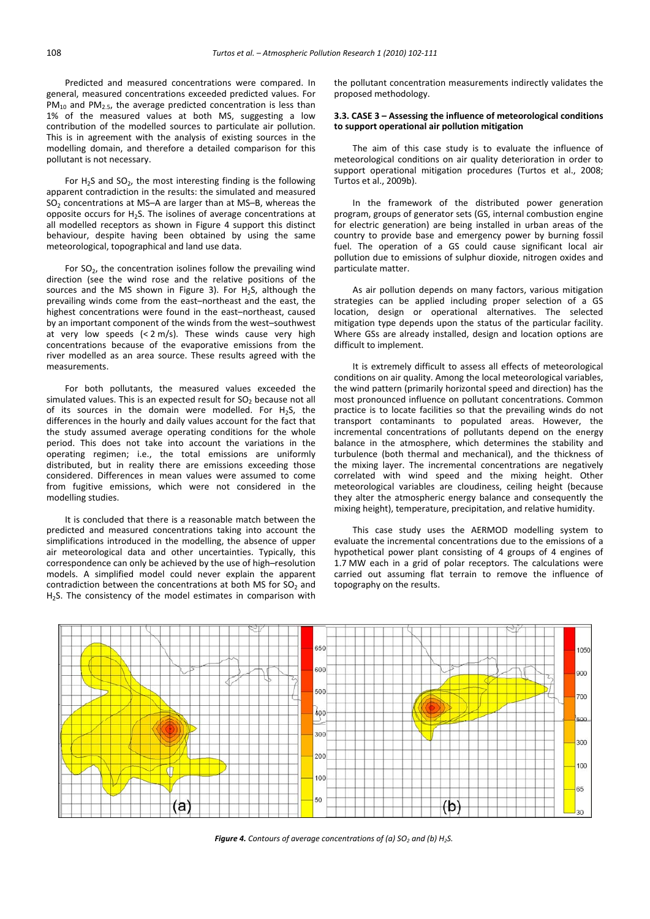Predicted and measured concentrations were compared. In general, measured concentrations exceeded predicted values. For  $PM_{10}$  and PM<sub>2.5</sub>, the average predicted concentration is less than 1% of the measured values at both MS, suggesting a low contribution of the modelled sources to particulate air pollution. This is in agreement with the analysis of existing sources in the modelling domain, and therefore a detailed comparison for this pollutant is not necessary.

For  $H_2S$  and  $SO_2$ , the most interesting finding is the following apparent contradiction in the results: the simulated and measured  $SO<sub>2</sub>$  concentrations at MS–A are larger than at MS–B, whereas the opposite occurs for  $H_2S$ . The isolines of average concentrations at all modelled receptors as shown in Figure 4 support this distinct behaviour, despite having been obtained by using the same meteorological, topographical and land use data.

For  $SO_2$ , the concentration isolines follow the prevailing wind direction (see the wind rose and the relative positions of the sources and the MS shown in Figure 3). For  $H_2S$ , although the prevailing winds come from the east–northeast and the east, the highest concentrations were found in the east–northeast, caused by an important component of the winds from the west–southwest at very low speeds  $( $2 \text{ m/s}$ ). These winds cause very high$ concentrations because of the evaporative emissions from the river modelled as an area source. These results agreed with the measurements.

For both pollutants, the measured values exceeded the simulated values. This is an expected result for  $SO<sub>2</sub>$  because not all of its sources in the domain were modelled. For  $H_2S$ , the differences in the hourly and daily values account for the fact that the study assumed average operating conditions for the whole period. This does not take into account the variations in the operating regimen; i.e., the total emissions are uniformly distributed, but in reality there are emissions exceeding those considered. Differences in mean values were assumed to come from fugitive emissions, which were not considered in the modelling studies.

It is concluded that there is a reasonable match between the predicted and measured concentrations taking into account the simplifications introduced in the modelling, the absence of upper air meteorological data and other uncertainties. Typically, this correspondence can only be achieved by the use of high–resolution models. A simplified model could never explain the apparent contradiction between the concentrations at both MS for  $SO<sub>2</sub>$  and H<sub>2</sub>S. The consistency of the model estimates in comparison with the pollutant concentration measurements indirectly validates the proposed methodology.

## **3.3. CASE 3 – Assessing the influence of meteorological conditions to support operational air pollution mitigation**

The aim of this case study is to evaluate the influence of meteorological conditions on air quality deterioration in order to support operational mitigation procedures (Turtos et al., 2008; Turtos et al., 2009b).

In the framework of the distributed power generation program, groups of generator sets (GS, internal combustion engine for electric generation) are being installed in urban areas of the country to provide base and emergency power by burning fossil fuel. The operation of a GS could cause significant local air pollution due to emissions of sulphur dioxide, nitrogen oxides and particulate matter.

As air pollution depends on many factors, various mitigation strategies can be applied including proper selection of a GS location, design or operational alternatives. The selected mitigation type depends upon the status of the particular facility. Where GSs are already installed, design and location options are difficult to implement.

It is extremely difficult to assess all effects of meteorological conditions on air quality. Among the local meteorological variables, the wind pattern (primarily horizontal speed and direction) has the most pronounced influence on pollutant concentrations. Common practice is to locate facilities so that the prevailing winds do not transport contaminants to populated areas. However, the incremental concentrations of pollutants depend on the energy balance in the atmosphere, which determines the stability and turbulence (both thermal and mechanical), and the thickness of the mixing layer. The incremental concentrations are negatively correlated with wind speed and the mixing height. Other meteorological variables are cloudiness, ceiling height (because they alter the atmospheric energy balance and consequently the mixing height), temperature, precipitation, and relative humidity.

This case study uses the AERMOD modelling system to evaluate the incremental concentrations due to the emissions of a hypothetical power plant consisting of 4 groups of 4 engines of 1.7 MW each in a grid of polar receptors. The calculations were carried out assuming flat terrain to remove the influence of topography on the results.



*Figure* 4. *Contours of average concentrations of* (*a*) *SO<sub>2</sub> and* (*b*) *H*<sub>2</sub>*S*.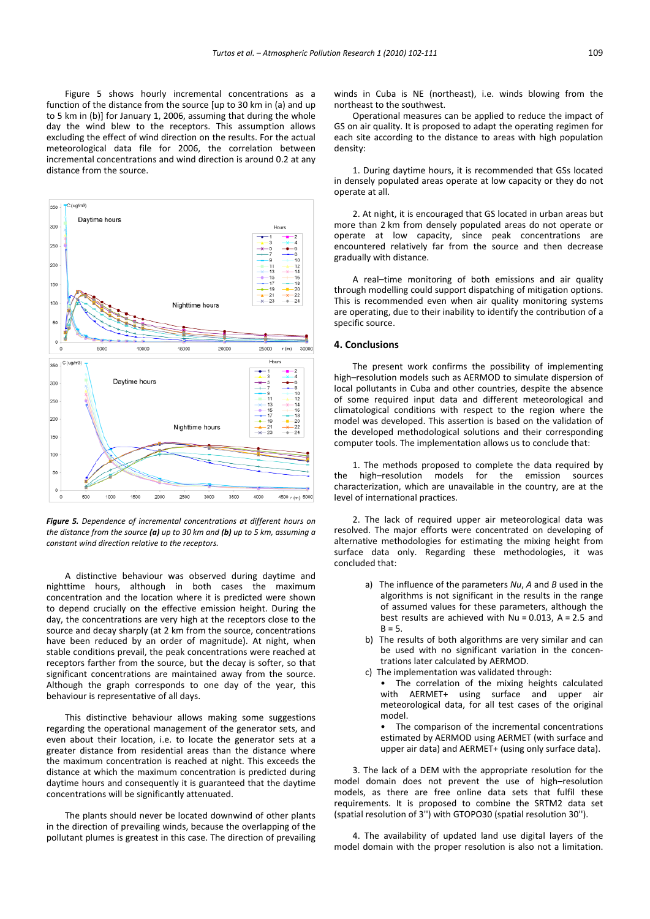Figure 5 shows hourly incremental concentrations as a function of the distance from the source [up to 30 km in (a) and up to 5 km in (b)] for January 1, 2006, assuming that during the whole day the wind blew to the receptors. This assumption allows excluding the effect of wind direction on the results. For the actual meteorological data file for 2006, the correlation between incremental concentrations and wind direction is around 0.2 at any distance from the source.



*Figure 5. Dependence of incremental concentrations at different hours on the distance from the source (a) up to 30 km and (b) up to 5 km, assuming a constant wind direction relative to the receptors.*

A distinctive behaviour was observed during daytime and nighttime hours, although in both cases the maximum concentration and the location where it is predicted were shown to depend crucially on the effective emission height. During the day, the concentrations are very high at the receptors close to the source and decay sharply (at 2 km from the source, concentrations have been reduced by an order of magnitude). At night, when stable conditions prevail, the peak concentrations were reached at receptors farther from the source, but the decay is softer, so that significant concentrations are maintained away from the source. Although the graph corresponds to one day of the year, this behaviour is representative of all days.

This distinctive behaviour allows making some suggestions regarding the operational management of the generator sets, and even about their location, i.e. to locate the generator sets at a greater distance from residential areas than the distance where the maximum concentration is reached at night. This exceeds the distance at which the maximum concentration is predicted during daytime hours and consequently it is guaranteed that the daytime concentrations will be significantly attenuated.

The plants should never be located downwind of other plants in the direction of prevailing winds, because the overlapping of the pollutant plumes is greatest in this case. The direction of prevailing winds in Cuba is NE (northeast), i.e. winds blowing from the northeast to the southwest.

Operational measures can be applied to reduce the impact of GS on air quality. It is proposed to adapt the operating regimen for each site according to the distance to areas with high population density:

1. During daytime hours, it is recommended that GSs located in densely populated areas operate at low capacity or they do not operate at all.

2. At night, it is encouraged that GS located in urban areas but more than 2 km from densely populated areas do not operate or operate at low capacity, since peak concentrations are encountered relatively far from the source and then decrease gradually with distance.

A real–time monitoring of both emissions and air quality through modelling could support dispatching of mitigation options. This is recommended even when air quality monitoring systems are operating, due to their inability to identify the contribution of a specific source.

## **4. Conclusions**

The present work confirms the possibility of implementing high–resolution models such as AERMOD to simulate dispersion of local pollutants in Cuba and other countries, despite the absence of some required input data and different meteorological and climatological conditions with respect to the region where the model was developed. This assertion is based on the validation of the developed methodological solutions and their corresponding computer tools. The implementation allows us to conclude that:

1. The methods proposed to complete the data required by the high–resolution models for the emission sources characterization, which are unavailable in the country, are at the level of international practices.

2. The lack of required upper air meteorological data was resolved. The major efforts were concentrated on developing of alternative methodologies for estimating the mixing height from surface data only. Regarding these methodologies, it was concluded that:

- a) The influence of the parameters *Nu*, *A* and *B* used in the algorithms is not significant in the results in the range of assumed values for these parameters, although the best results are achieved with  $Nu = 0.013$ ,  $A = 2.5$  and  $B = 5$ .
- b) The results of both algorithms are very similar and can be used with no significant variation in the concentrations later calculated by AERMOD.
- c) The implementation was validated through:
	- The correlation of the mixing heights calculated with AERMET+ using surface and upper air meteorological data, for all test cases of the original model.

The comparison of the incremental concentrations estimated by AERMOD using AERMET (with surface and upper air data) and AERMET+ (using only surface data).

3. The lack of a DEM with the appropriate resolution for the model domain does not prevent the use of high–resolution models, as there are free online data sets that fulfil these requirements. It is proposed to combine the SRTM2 data set (spatial resolution of 3'') with GTOPO30 (spatial resolution 30'').

4. The availability of updated land use digital layers of the model domain with the proper resolution is also not a limitation.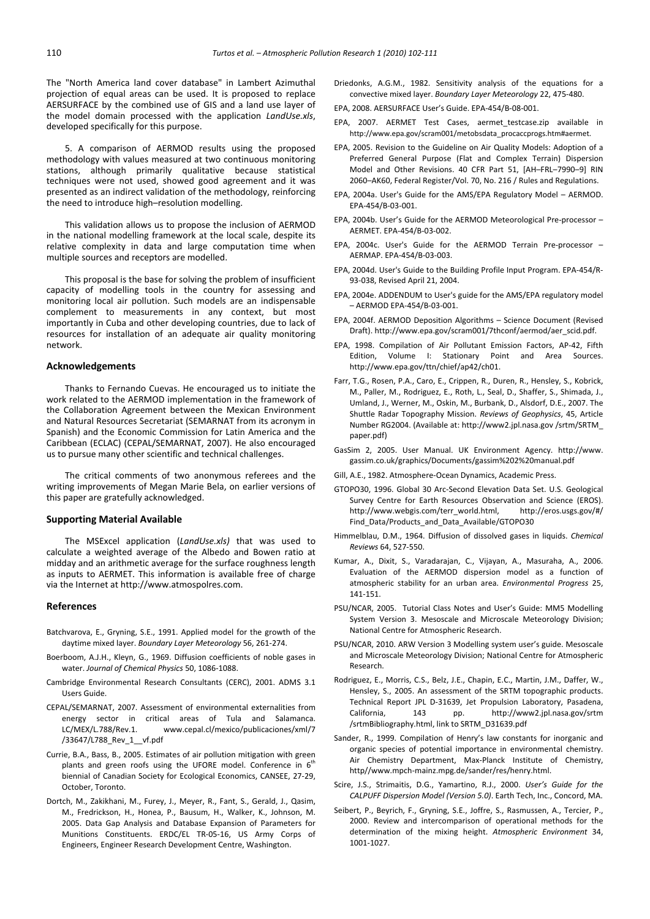The "North America land cover database" in Lambert Azimuthal projection of equal areas can be used. It is proposed to replace AERSURFACE by the combined use of GIS and a land use layer of the model domain processed with the application *LandUse.xls*, developed specifically for this purpose.

5. A comparison of AERMOD results using the proposed methodology with values measured at two continuous monitoring stations, although primarily qualitative because statistical techniques were not used, showed good agreement and it was presented as an indirect validation of the methodology, reinforcing the need to introduce high–resolution modelling.

This validation allows us to propose the inclusion of AERMOD in the national modelling framework at the local scale, despite its relative complexity in data and large computation time when multiple sources and receptors are modelled.

This proposal is the base for solving the problem of insufficient capacity of modelling tools in the country for assessing and monitoring local air pollution. Such models are an indispensable complement to measurements in any context, but most importantly in Cuba and other developing countries, due to lack of resources for installation of an adequate air quality monitoring network.

#### **Acknowledgements**

Thanks to Fernando Cuevas. He encouraged us to initiate the work related to the AERMOD implementation in the framework of the Collaboration Agreement between the Mexican Environment and Natural Resources Secretariat (SEMARNAT from its acronym in Spanish) and the Economic Commission for Latin America and the Caribbean (ECLAC) (CEPAL/SEMARNAT, 2007). He also encouraged us to pursue many other scientific and technical challenges.

The critical comments of two anonymous referees and the writing improvements of Megan Marie Bela, on earlier versions of this paper are gratefully acknowledged.

#### **Supporting Material Available**

The MSExcel application (*LandUse.xls)* that was used to calculate a weighted average of the Albedo and Bowen ratio at midday and an arithmetic average for the surface roughness length as inputs to AERMET. This information is available free of charge via the Internet at http://www.atmospolres.com.

#### **References**

- Batchvarova, E., Gryning, S.E., 1991. Applied model for the growth of the daytime mixed layer. *Boundary Layer Meteorology* 56, 261‐274.
- Boerboom, A.J.H., Kleyn, G., 1969. Diffusion coefficients of noble gases in water. *Journal of Chemical Physics* 50, 1086‐1088.
- Cambridge Environmental Research Consultants (CERC), 2001. ADMS 3.1 Users Guide.
- CEPAL/SEMARNAT, 2007. Assessment of environmental externalities from energy sector in critical areas of Tula and Salamanca. LC/MEX/L.788/Rev.1. www.cepal.cl/mexico/publicaciones/xml/7 /33647/L788\_Rev\_1\_\_vf.pdf
- Currie, B.A., Bass, B., 2005. Estimates of air pollution mitigation with green plants and green roofs using the UFORE model. Conference in  $6<sup>th</sup>$ biennial of Canadian Society for Ecological Economics, CANSEE, 27‐29, October, Toronto.
- Dortch, M., Zakikhani, M., Furey, J., Meyer, R., Fant, S., Gerald, J., Qasim, M., Fredrickson, H., Honea, P., Bausum, H., Walker, K., Johnson, M. 2005. Data Gap Analysis and Database Expansion of Parameters for Munitions Constituents. ERDC/EL TR‐05‐16, US Army Corps of Engineers, Engineer Research Development Centre, Washington.
- Driedonks, A.G.M., 1982. Sensitivity analysis of the equations for a convective mixed layer. *Boundary Layer Meteorology* 22, 475‐480.
- EPA, 2008. AERSURFACE User's Guide. EPA‐454/B‐08‐001.
- EPA, 2007. AERMET Test Cases, aermet\_testcase.zip available in http://www.epa.gov/scram001/metobsdata\_procaccprogs.htm#aermet.
- EPA, 2005. Revision to the Guideline on Air Quality Models: Adoption of a Preferred General Purpose (Flat and Complex Terrain) Dispersion Model and Other Revisions. 40 CFR Part 51, [AH–FRL–7990–9] RIN 2060–AK60, Federal Register/Vol. 70, No. 216 / Rules and Regulations.
- EPA, 2004a. User's Guide for the AMS/EPA Regulatory Model AERMOD. EPA‐454/B‐03‐001.
- EPA, 2004b. User's Guide for the AERMOD Meteorological Pre‐processor AERMET. EPA‐454/B‐03‐002.
- EPA, 2004c. User's Guide for the AERMOD Terrain Pre‐processor AERMAP. EPA‐454/B‐03‐003.
- EPA, 2004d. User's Guide to the Building Profile Input Program. EPA‐454/R‐ 93‐038, Revised April 21, 2004.
- EPA, 2004e. ADDENDUM to User's guide for the AMS/EPA regulatory model – AERMOD EPA‐454/B‐03‐001.
- EPA, 2004f. AERMOD Deposition Algorithms Science Document (Revised Draft). http://www.epa.gov/scram001/7thconf/aermod/aer\_scid.pdf.
- EPA, 1998. Compilation of Air Pollutant Emission Factors, AP‐42, Fifth Edition, Volume I: Stationary Point and Area Sources. http://www.epa.gov/ttn/chief/ap42/ch01.
- Farr, T.G., Rosen, P.A., Caro, E., Crippen, R., Duren, R., Hensley, S., Kobrick, M., Paller, M., Rodriguez, E., Roth, L., Seal, D., Shaffer, S., Shimada, J., Umland, J., Werner, M., Oskin, M., Burbank, D., Alsdorf, D.E., 2007. The Shuttle Radar Topography Mission. *Reviews of Geophysics*, 45, Article Number RG2004. (Available at: http://www2.jpl.nasa.gov /srtm/SRTM\_ paper.pdf)
- GasSim 2, 2005. User Manual. UK Environment Agency. http://www. gassim.co.uk/graphics/Documents/gassim%202%20manual.pdf
- Gill, A.E., 1982. Atmosphere‐Ocean Dynamics, Academic Press.
- GTOPO30, 1996. Global 30 Arc‐Second Elevation Data Set. U.S. Geological Survey Centre for Earth Resources Observation and Science (EROS). http://www.webgis.com/terr\_world.html, http://eros.usgs.gov/#/ Find\_Data/Products\_and\_Data\_Available/GTOPO30
- Himmelblau, D.M., 1964. Diffusion of dissolved gases in liquids. *Chemical Reviews* 64, 527‐550.
- Kumar, A., Dixit, S., Varadarajan, C., Vijayan, A., Masuraha, A., 2006. Evaluation of the AERMOD dispersion model as a function of atmospheric stability for an urban area. *Environmental Progress* 25, 141‐151.
- PSU/NCAR, 2005. Tutorial Class Notes and User's Guide: MM5 Modelling System Version 3. Mesoscale and Microscale Meteorology Division; National Centre for Atmospheric Research.
- PSU/NCAR, 2010. ARW Version 3 Modelling system user's guide. Mesoscale and Microscale Meteorology Division; National Centre for Atmospheric Research.
- Rodriguez, E., Morris, C.S., Belz, J.E., Chapin, E.C., Martin, J.M., Daffer, W., Hensley, S., 2005. An assessment of the SRTM topographic products. Technical Report JPL D‐31639, Jet Propulsion Laboratory, Pasadena, California, 143 pp. http://www2.jpl.nasa.gov/srtm /srtmBibliography.html, link to SRTM\_D31639.pdf
- Sander, R., 1999. Compilation of Henry's law constants for inorganic and organic species of potential importance in environmental chemistry. Air Chemistry Department, Max‐Planck Institute of Chemistry, http//www.mpch‐mainz.mpg.de/sander/res/henry.html.
- Scire, J.S., Strimaitis, D.G., Yamartino, R.J., 2000. *User's Guide for the CALPUFF Dispersion Model (Version 5.0)*. Earth Tech, Inc., Concord, MA.
- Seibert, P., Beyrich, F., Gryning, S.E., Joffre, S., Rasmussen, A., Tercier, P., 2000. Review and intercomparison of operational methods for the determination of the mixing height. *Atmospheric Environment* 34, 1001‐1027.